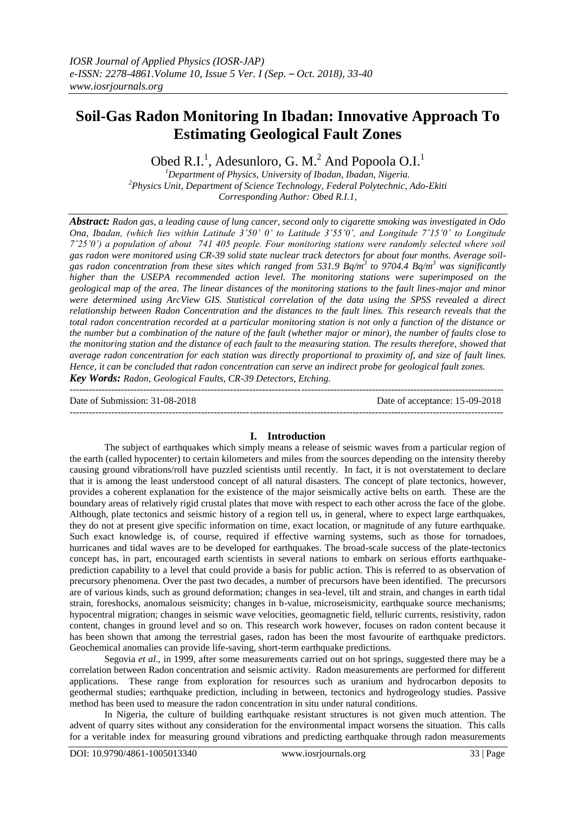$-1.1$ 

# **Soil-Gas Radon Monitoring In Ibadan: Innovative Approach To Estimating Geological Fault Zones**

Obed R.I.<sup>1</sup>, Adesunloro, G. M.<sup>2</sup> And Popoola O.I.<sup>1</sup>

*<sup>1</sup>Department of Physics, University of Ibadan, Ibadan, Nigeria. <sup>2</sup>Physics Unit, Department of Science Technology, Federal Polytechnic, Ado-Ekiti Corresponding Author: Obed R.I.1,*

*Abstract: Radon gas, a leading cause of lung cancer, second only to cigarette smoking was investigated in Odo Ona, Ibadan, (which lies within Latitude 3˚50' 0' to Latitude 3˚55'0', and Longitude 7˚15'0' to Longitude 7˚25'0') a population of about 741 405 people. Four monitoring stations were randomly selected where soil gas radon were monitored using CR-39 solid state nuclear track detectors for about four months. Average soilgas radon concentration from these sites which ranged from 531.9 Bq/m<sup>3</sup> to 9704.4 Bq/m<sup>3</sup> was significantly higher than the USEPA recommended action level. The monitoring stations were superimposed on the geological map of the area. The linear distances of the monitoring stations to the fault lines-major and minor were determined using ArcView GIS. Statistical correlation of the data using the SPSS revealed a direct relationship between Radon Concentration and the distances to the fault lines. This research reveals that the total radon concentration recorded at a particular monitoring station is not only a function of the distance or the number but a combination of the nature of the fault (whether major or minor), the number of faults close to the monitoring station and the distance of each fault to the measuring station. The results therefore, showed that average radon concentration for each station was directly proportional to proximity of, and size of fault lines. Hence, it can be concluded that radon concentration can serve an indirect probe for geological fault zones. Key Words: Radon, Geological Faults, CR-39 Detectors, Etching.*

Date of Submission: 31-08-2018 Date of acceptance: 15-09-2018

**I. Introduction**

---------------------------------------------------------------------------------------------------------------------------------------

The subject of earthquakes which simply means a release of seismic waves from a particular region of the earth (called hypocenter) to certain kilometers and miles from the sources depending on the intensity thereby causing ground vibrations/roll have puzzled scientists until recently. In fact, it is not overstatement to declare that it is among the least understood concept of all natural disasters. The concept of plate tectonics, however, provides a coherent explanation for the existence of the major seismically active belts on earth. These are the boundary areas of relatively rigid crustal plates that move with respect to each other across the face of the globe. Although, plate tectonics and seismic history of a region tell us, in general, where to expect large earthquakes, they do not at present give specific information on time, exact location, or magnitude of any future earthquake. Such exact knowledge is, of course, required if effective warning systems, such as those for tornadoes, hurricanes and tidal waves are to be developed for earthquakes. The broad-scale success of the plate-tectonics concept has, in part, encouraged earth scientists in several nations to embark on serious efforts earthquakeprediction capability to a level that could provide a basis for public action. This is referred to as observation of precursory phenomena. Over the past two decades, a number of precursors have been identified. The precursors are of various kinds, such as ground deformation; changes in sea-level, tilt and strain, and changes in earth tidal strain, foreshocks, anomalous seismicity; changes in b-value, microseismicity, earthquake source mechanisms; hypocentral migration; changes in seismic wave velocities, geomagnetic field, telluric currents, resistivity, radon content, changes in ground level and so on. This research work however, focuses on radon content because it has been shown that among the terrestrial gases, radon has been the most favourite of earthquake predictors. Geochemical anomalies can provide life-saving, short-term earthquake predictions.

Segovia *et al*., in 1999, after some measurements carried out on hot springs, suggested there may be a correlation between Radon concentration and seismic activity. Radon measurements are performed for different applications. These range from exploration for resources such as uranium and hydrocarbon deposits to geothermal studies; earthquake prediction, including in between, tectonics and hydrogeology studies. Passive method has been used to measure the radon concentration in situ under natural conditions.

In Nigeria, the culture of building earthquake resistant structures is not given much attention. The advent of quarry sites without any consideration for the environmental impact worsens the situation. This calls for a veritable index for measuring ground vibrations and predicting earthquake through radon measurements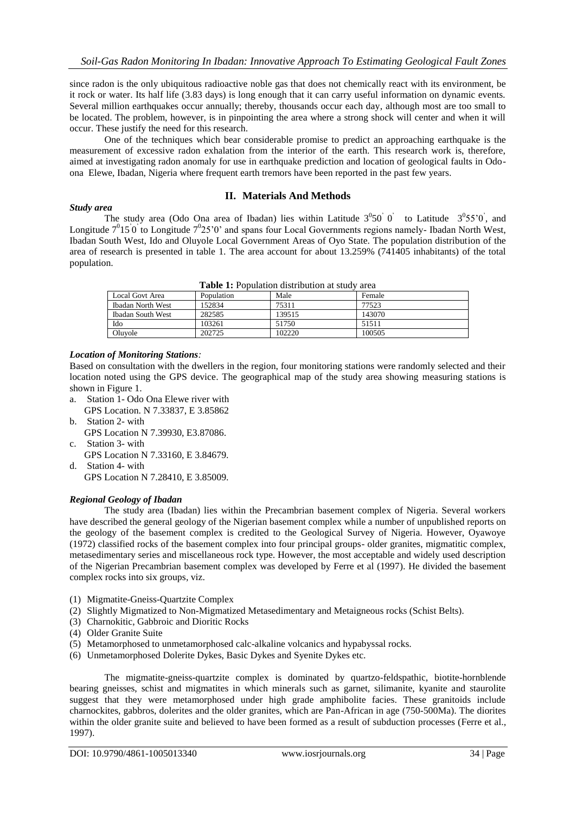since radon is the only ubiquitous radioactive noble gas that does not chemically react with its environment, be it rock or water. Its half life (3.83 days) is long enough that it can carry useful information on dynamic events. Several million earthquakes occur annually; thereby, thousands occur each day, although most are too small to be located. The problem, however, is in pinpointing the area where a strong shock will center and when it will occur. These justify the need for this research.

One of the techniques which bear considerable promise to predict an approaching earthquake is the measurement of excessive radon exhalation from the interior of the earth. This research work is, therefore, aimed at investigating radon anomaly for use in earthquake prediction and location of geological faults in Odoona Elewe, Ibadan, Nigeria where frequent earth tremors have been reported in the past few years.

#### **II. Materials And Methods**

#### *Study area*

The study area (Odo Ona area of Ibadan) lies within Latitude  $3^0 50^{\degree}$  o' to Latitude  $3^0 55^{\degree}$  and Longitude  $7^015^0$  to Longitude  $7^025^0$  and spans four Local Governments regions namely- Ibadan North West, Ibadan South West, Ido and Oluyole Local Government Areas of Oyo State. The population distribution of the area of research is presented in table 1. The area account for about 13.259% (741405 inhabitants) of the total population.

| <b>Table 1.</b> I obulation uistribution at study area |            |        |        |  |
|--------------------------------------------------------|------------|--------|--------|--|
| <b>Local Govt Area</b>                                 | Population | Male   | Female |  |
| Ibadan North West                                      | 152834     | 75311  | 77523  |  |
| Ibadan South West                                      | 282585     | 139515 | 143070 |  |
| Ido                                                    | 103261     | 51750  | 51511  |  |
| Oluvole                                                | 202725     | 102220 | 100505 |  |
|                                                        |            |        |        |  |

**Table 1:** Population distribution at study area

#### *Location of Monitoring Stations:*

Based on consultation with the dwellers in the region, four monitoring stations were randomly selected and their location noted using the GPS device. The geographical map of the study area showing measuring stations is shown in Figure 1.

- a. Station 1- Odo Ona Elewe river with GPS Location. N 7.33837, E 3.85862
- b. Station 2- with GPS Location N 7.39930, E3.87086.
- c. Station 3- with GPS Location N 7.33160, E 3.84679. d. Station 4- with
	- GPS Location N 7.28410, E 3.85009.

#### *Regional Geology of Ibadan*

The study area (Ibadan) lies within the Precambrian basement complex of Nigeria. Several workers have described the general geology of the Nigerian basement complex while a number of unpublished reports on the geology of the basement complex is credited to the Geological Survey of Nigeria. However, Oyawoye (1972) classified rocks of the basement complex into four principal groups- older granites, migmatitic complex, metasedimentary series and miscellaneous rock type. However, the most acceptable and widely used description of the Nigerian Precambrian basement complex was developed by Ferre et al (1997). He divided the basement complex rocks into six groups, viz.

- (1) Migmatite-Gneiss-Quartzite Complex
- (2) Slightly Migmatized to Non-Migmatized Metasedimentary and Metaigneous rocks (Schist Belts).
- (3) Charnokitic, Gabbroic and Dioritic Rocks
- (4) Older Granite Suite
- (5) Metamorphosed to unmetamorphosed calc-alkaline volcanics and hypabyssal rocks.
- (6) Unmetamorphosed Dolerite Dykes, Basic Dykes and Syenite Dykes etc.

The migmatite-gneiss-quartzite complex is dominated by quartzo-feldspathic, biotite-hornblende bearing gneisses, schist and migmatites in which minerals such as garnet, silimanite, kyanite and staurolite suggest that they were metamorphosed under high grade amphibolite facies. These granitoids include charnockites, gabbros, dolerites and the older granites, which are Pan-African in age (750-500Ma). The diorites within the older granite suite and believed to have been formed as a result of subduction processes (Ferre et al., 1997).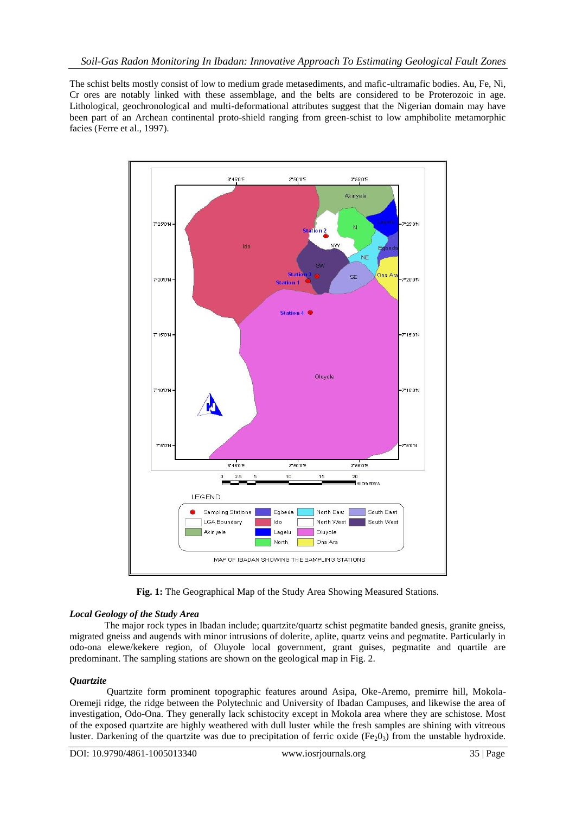The schist belts mostly consist of low to medium grade metasediments, and mafic-ultramafic bodies. Au, Fe, Ni, Cr ores are notably linked with these assemblage, and the belts are considered to be Proterozoic in age. Lithological, geochronological and multi-deformational attributes suggest that the Nigerian domain may have been part of an Archean continental proto-shield ranging from green-schist to low amphibolite metamorphic facies (Ferre et al., 1997).



**Fig. 1:** The Geographical Map of the Study Area Showing Measured Stations.

## *Local Geology of the Study Area*

The major rock types in Ibadan include; quartzite/quartz schist pegmatite banded gnesis, granite gneiss, migrated gneiss and augends with minor intrusions of dolerite, aplite, quartz veins and pegmatite. Particularly in odo-ona elewe/kekere region, of Oluyole local government, grant guises, pegmatite and quartile are predominant. The sampling stations are shown on the geological map in Fig. 2.

## *Quartzite*

Quartzite form prominent topographic features around Asipa, Oke-Aremo, premirre hill, Mokola-Oremeji ridge, the ridge between the Polytechnic and University of Ibadan Campuses, and likewise the area of investigation, Odo-Ona. They generally lack schistocity except in Mokola area where they are schistose. Most of the exposed quartzite are highly weathered with dull luster while the fresh samples are shining with vitreous luster. Darkening of the quartzite was due to precipitation of ferric oxide (Fe<sub>2</sub>0<sub>3</sub>) from the unstable hydroxide.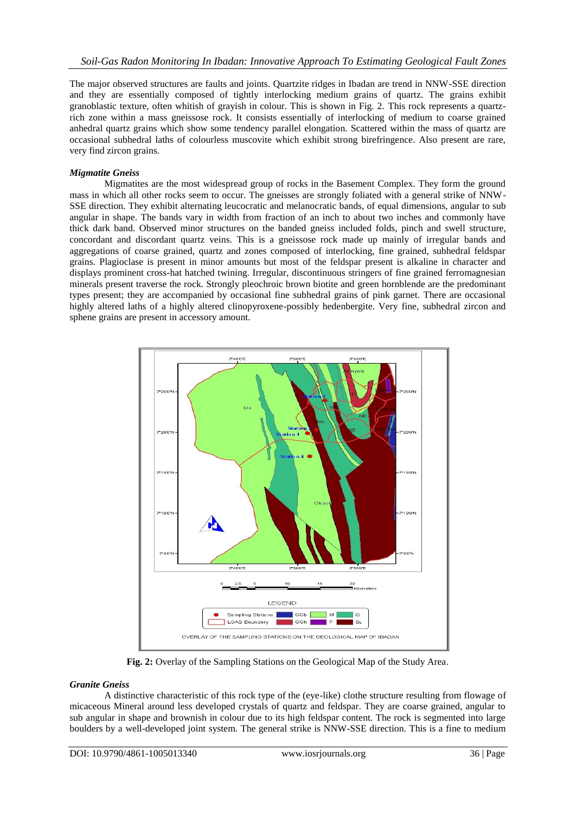The major observed structures are faults and joints. Quartzite ridges in Ibadan are trend in NNW-SSE direction and they are essentially composed of tightly interlocking medium grains of quartz. The grains exhibit granoblastic texture, often whitish of grayish in colour. This is shown in Fig. 2. This rock represents a quartzrich zone within a mass gneissose rock. It consists essentially of interlocking of medium to coarse grained anhedral quartz grains which show some tendency parallel elongation. Scattered within the mass of quartz are occasional subhedral laths of colourless muscovite which exhibit strong birefringence. Also present are rare, very find zircon grains.

#### *Migmatite Gneiss*

Migmatites are the most widespread group of rocks in the Basement Complex. They form the ground mass in which all other rocks seem to occur. The gneisses are strongly foliated with a general strike of NNW-SSE direction. They exhibit alternating leucocratic and melanocratic bands, of equal dimensions, angular to sub angular in shape. The bands vary in width from fraction of an inch to about two inches and commonly have thick dark band. Observed minor structures on the banded gneiss included folds, pinch and swell structure, concordant and discordant quartz veins. This is a gneissose rock made up mainly of irregular bands and aggregations of coarse grained, quartz and zones composed of interlocking, fine grained, subhedral feldspar grains. Plagioclase is present in minor amounts but most of the feldspar present is alkaline in character and displays prominent cross-hat hatched twining. Irregular, discontinuous stringers of fine grained ferromagnesian minerals present traverse the rock. Strongly pleochroic brown biotite and green hornblende are the predominant types present; they are accompanied by occasional fine subhedral grains of pink garnet. There are occasional highly altered laths of a highly altered clinopyroxene-possibly hedenbergite. Very fine, subhedral zircon and sphene grains are present in accessory amount.



**Fig. 2:** Overlay of the Sampling Stations on the Geological Map of the Study Area.

## *Granite Gneiss*

A distinctive characteristic of this rock type of the (eye-like) clothe structure resulting from flowage of micaceous Mineral around less developed crystals of quartz and feldspar. They are coarse grained, angular to sub angular in shape and brownish in colour due to its high feldspar content. The rock is segmented into large boulders by a well-developed joint system. The general strike is NNW-SSE direction. This is a fine to medium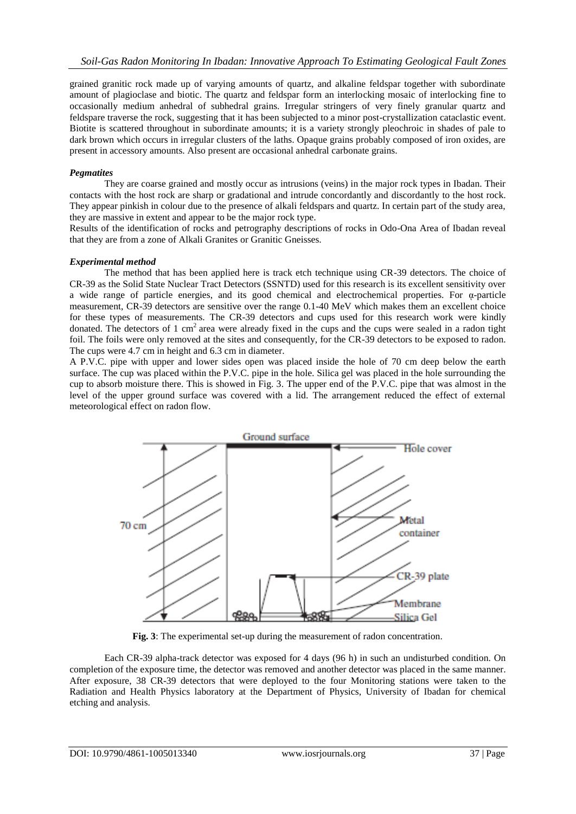grained granitic rock made up of varying amounts of quartz, and alkaline feldspar together with subordinate amount of plagioclase and biotic. The quartz and feldspar form an interlocking mosaic of interlocking fine to occasionally medium anhedral of subhedral grains. Irregular stringers of very finely granular quartz and feldspare traverse the rock, suggesting that it has been subjected to a minor post-crystallization cataclastic event. Biotite is scattered throughout in subordinate amounts; it is a variety strongly pleochroic in shades of pale to dark brown which occurs in irregular clusters of the laths. Opaque grains probably composed of iron oxides, are present in accessory amounts. Also present are occasional anhedral carbonate grains.

#### *Pegmatites*

They are coarse grained and mostly occur as intrusions (veins) in the major rock types in Ibadan. Their contacts with the host rock are sharp or gradational and intrude concordantly and discordantly to the host rock. They appear pinkish in colour due to the presence of alkali feldspars and quartz. In certain part of the study area, they are massive in extent and appear to be the major rock type.

Results of the identification of rocks and petrography descriptions of rocks in Odo-Ona Area of Ibadan reveal that they are from a zone of Alkali Granites or Granitic Gneisses.

### *Experimental method*

The method that has been applied here is track etch technique using CR-39 detectors. The choice of CR-39 as the Solid State Nuclear Tract Detectors (SSNTD) used for this research is its excellent sensitivity over a wide range of particle energies, and its good chemical and electrochemical properties. For  $\alpha$ -particle measurement, CR-39 detectors are sensitive over the range 0.1-40 MeV which makes them an excellent choice for these types of measurements. The CR-39 detectors and cups used for this research work were kindly donated. The detectors of 1 cm<sup>2</sup> area were already fixed in the cups and the cups were sealed in a radon tight foil. The foils were only removed at the sites and consequently, for the CR-39 detectors to be exposed to radon. The cups were 4.7 cm in height and 6.3 cm in diameter.

A P.V.C. pipe with upper and lower sides open was placed inside the hole of 70 cm deep below the earth surface. The cup was placed within the P.V.C. pipe in the hole. Silica gel was placed in the hole surrounding the cup to absorb moisture there. This is showed in Fig. 3. The upper end of the P.V.C. pipe that was almost in the level of the upper ground surface was covered with a lid. The arrangement reduced the effect of external meteorological effect on radon flow.



**Fig. 3**: The experimental set-up during the measurement of radon concentration.

Each CR-39 alpha-track detector was exposed for 4 days (96 h) in such an undisturbed condition. On completion of the exposure time, the detector was removed and another detector was placed in the same manner. After exposure, 38 CR-39 detectors that were deployed to the four Monitoring stations were taken to the Radiation and Health Physics laboratory at the Department of Physics, University of Ibadan for chemical etching and analysis.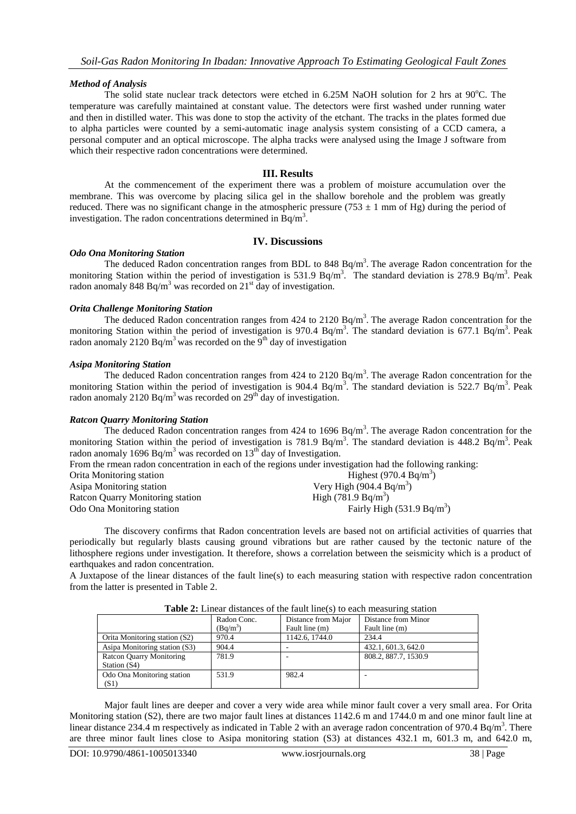#### *Method of Analysis*

The solid state nuclear track detectors were etched in  $6.25M$  NaOH solution for 2 hrs at 90 $^{\circ}$ C. The temperature was carefully maintained at constant value. The detectors were first washed under running water and then in distilled water. This was done to stop the activity of the etchant. The tracks in the plates formed due to alpha particles were counted by a semi-automatic inage analysis system consisting of a CCD camera, a personal computer and an optical microscope. The alpha tracks were analysed using the Image J software from which their respective radon concentrations were determined.

#### **III. Results**

At the commencement of the experiment there was a problem of moisture accumulation over the membrane. This was overcome by placing silica gel in the shallow borehole and the problem was greatly reduced. There was no significant change in the atmospheric pressure (753  $\pm$  1 mm of Hg) during the period of investigation. The radon concentrations determined in  $\text{Bq/m}^3$ .

#### **IV. Discussions**

#### *Odo Ona Monitoring Station*

The deduced Radon concentration ranges from BDL to 848 Bq/m<sup>3</sup>. The average Radon concentration for the monitoring Station within the period of investigation is 531.9 Bq/m<sup>3</sup>. The standard deviation is 278.9 Bq/m<sup>3</sup>. Peak radon anomaly 848 Bq/m<sup>3</sup> was recorded on 21<sup>st</sup> day of investigation.

#### *Orita Challenge Monitoring Station*

The deduced Radon concentration ranges from  $424$  to  $2120$  Bq/m<sup>3</sup>. The average Radon concentration for the monitoring Station within the period of investigation is 970.4 Bq/m<sup>3</sup>. The standard deviation is 677.1 Bq/m<sup>3</sup>. Peak radon anomaly 2120 Bq/m<sup>3</sup> was recorded on the 9<sup>th</sup> day of investigation

## *Asipa Monitoring Station*

The deduced Radon concentration ranges from  $424$  to  $2120$  Bq/m<sup>3</sup>. The average Radon concentration for the monitoring Station within the period of investigation is  $904.4 \text{ Bq/m}^3$ . The standard deviation is 522.7 Bq/m<sup>3</sup>. Peak radon anomaly 2120 Bq/m<sup>3</sup> was recorded on 29<sup>th</sup> day of investigation.

## *Ratcon Quarry Monitoring Station*

The deduced Radon concentration ranges from  $424$  to  $1696$  Bq/m<sup>3</sup>. The average Radon concentration for the monitoring Station within the period of investigation is 781.9 Bq/m<sup>3</sup>. The standard deviation is 448.2 Bq/m<sup>3</sup>. Peak radon anomaly 1696 Bq/m<sup>3</sup> was recorded on  $13<sup>th</sup>$  day of Investigation.

From the rmean radon concentration in each of the regions under investigation had the following ranking:

| Orita Monitoring station         | Highest (970.4 $Bq/m3$ )             |
|----------------------------------|--------------------------------------|
| Asipa Monitoring station         | Very High $(904.4 \text{ Bq/m}^3)$   |
| Ratcon Quarry Monitoring station | High $(781.9 \text{ Bq/m}^3)$        |
| Odo Ona Monitoring station       | Fairly High $(531.9 \text{ Bq/m}^3)$ |

The discovery confirms that Radon concentration levels are based not on artificial activities of quarries that periodically but regularly blasts causing ground vibrations but are rather caused by the tectonic nature of the lithosphere regions under investigation. It therefore, shows a correlation between the seismicity which is a product of earthquakes and radon concentration.

A Juxtapose of the linear distances of the fault line(s) to each measuring station with respective radon concentration from the latter is presented in Table 2.

| <b>Table 2.</b> Emical distances of the fault fine (3) to each measuring station |             |                     |                      |  |  |
|----------------------------------------------------------------------------------|-------------|---------------------|----------------------|--|--|
|                                                                                  | Radon Conc. | Distance from Major | Distance from Minor  |  |  |
|                                                                                  | $(Bq/m^3)$  | Fault line (m)      | Fault line (m)       |  |  |
| Orita Monitoring station (S2)                                                    | 970.4       | 1142.6, 1744.0      | 234.4                |  |  |
| Asipa Monitoring station (S3)                                                    | 904.4       |                     | 432.1, 601.3, 642.0  |  |  |
| Ratcon Quarry Monitoring                                                         | 781.9       |                     | 808.2, 887.7, 1530.9 |  |  |
| Station (S4)                                                                     |             |                     |                      |  |  |
| Odo Ona Monitoring station                                                       | 531.9       | 982.4               |                      |  |  |
| (S1)                                                                             |             |                     |                      |  |  |

**Table 2:** Linear distances of the fault line(s) to each measuring station

Major fault lines are deeper and cover a very wide area while minor fault cover a very small area. For Orita Monitoring station (S2), there are two major fault lines at distances 1142.6 m and 1744.0 m and one minor fault line at linear distance 234.4 m respectively as indicated in Table 2 with an average radon concentration of 970.4 Bq/m<sup>3</sup>. There are three minor fault lines close to Asipa monitoring station (S3) at distances 432.1 m, 601.3 m, and 642.0 m,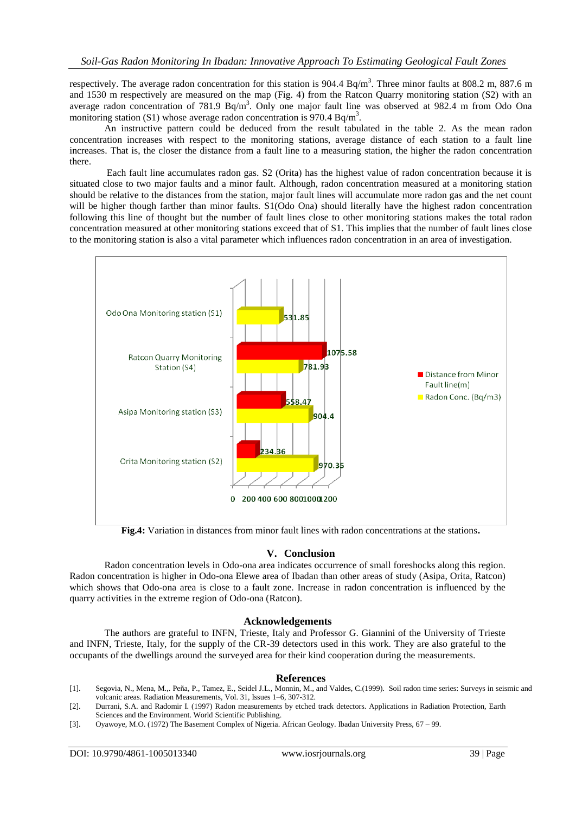respectively. The average radon concentration for this station is  $904.4 \text{ Bq/m}^3$ . Three minor faults at  $808.2 \text{ m}$ ,  $887.6 \text{ m}$ and 1530 m respectively are measured on the map (Fig. 4) from the Ratcon Quarry monitoring station (S2) with an average radon concentration of 781.9  $Bq/m<sup>3</sup>$ . Only one major fault line was observed at 982.4 m from Odo Ona monitoring station (S1) whose average radon concentration is 970.4 Bq/m<sup>3</sup>.

An instructive pattern could be deduced from the result tabulated in the table 2. As the mean radon concentration increases with respect to the monitoring stations, average distance of each station to a fault line increases. That is, the closer the distance from a fault line to a measuring station, the higher the radon concentration there.

Each fault line accumulates radon gas. S2 (Orita) has the highest value of radon concentration because it is situated close to two major faults and a minor fault. Although, radon concentration measured at a monitoring station should be relative to the distances from the station, major fault lines will accumulate more radon gas and the net count will be higher though farther than minor faults. S1(Odo Ona) should literally have the highest radon concentration following this line of thought but the number of fault lines close to other monitoring stations makes the total radon concentration measured at other monitoring stations exceed that of S1. This implies that the number of fault lines close to the monitoring station is also a vital parameter which influences radon concentration in an area of investigation.



**Fig.4:** Variation in distances from minor fault lines with radon concentrations at the stations**.**

#### **V. Conclusion**

Radon concentration levels in Odo-ona area indicates occurrence of small foreshocks along this region. Radon concentration is higher in Odo-ona Elewe area of Ibadan than other areas of study (Asipa, Orita, Ratcon) which shows that Odo-ona area is close to a fault zone. Increase in radon concentration is influenced by the quarry activities in the extreme region of Odo-ona (Ratcon).

#### **Acknowledgements**

The authors are grateful to INFN, Trieste, Italy and Professor G. Giannini of the University of Trieste and INFN, Trieste, Italy, for the supply of the CR-39 detectors used in this work. They are also grateful to the occupants of the dwellings around the surveyed area for their kind cooperation during the measurements.

#### **References**

- [1]. [Segovia,](https://www.sciencedirect.com/science/article/abs/pii/S1350448799001420#!) N., [Mena,](https://www.sciencedirect.com/science/article/abs/pii/S1350448799001420#!) M.,[. Peña,](https://www.sciencedirect.com/science/article/abs/pii/S1350448799001420#!) P., [Tamez,](https://www.sciencedirect.com/science/article/abs/pii/S1350448799001420#!) E., [Seidel](https://www.sciencedirect.com/science/article/abs/pii/S1350448799001420#!) J.L.[, Monnin,](https://www.sciencedirect.com/science/article/abs/pii/S1350448799001420#!) M., an[d Valdes](https://www.sciencedirect.com/science/article/abs/pii/S1350448799001420#!), C.(1999). Soil radon time series: Surveys in seismic and volcanic areas. [Radiation Measurements,](https://www.sciencedirect.com/science/journal/13504487) Vol. [31, Issues 1–6,](https://www.sciencedirect.com/science/journal/13504487/31/1) 307-312.
- [2]. Durrani, S.A. and Radomir I. (1997) Radon measurements by etched track detectors. Applications in Radiation Protection, Earth Sciences and the Environment. World Scientific Publishing.
- [3]. Oyawoye, M.O. (1972) The Basement Complex of Nigeria. African Geology. Ibadan University Press, 67 99.